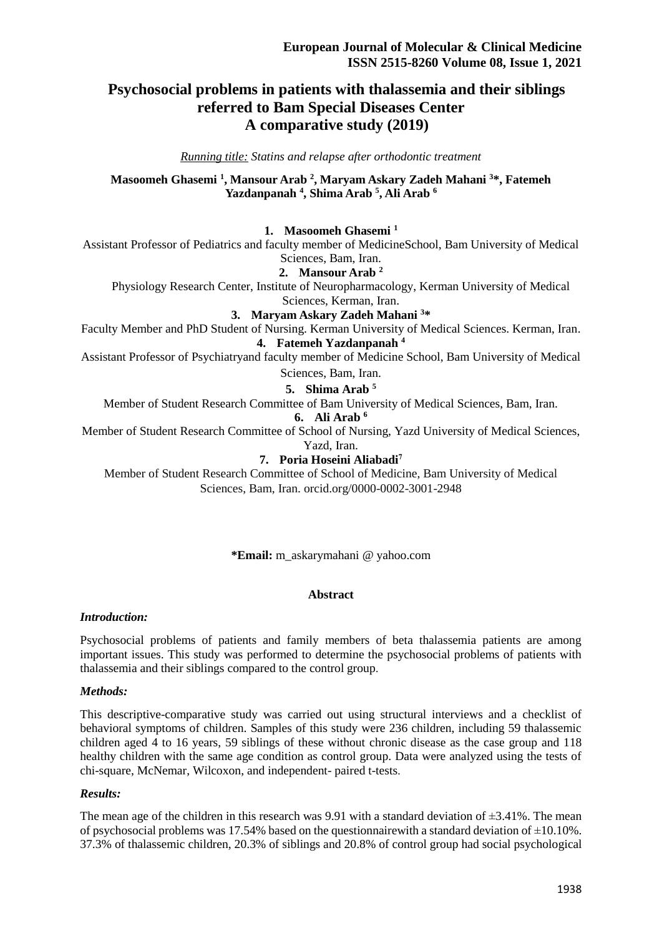# **Psychosocial problems in patients with thalassemia and their siblings referred to Bam Special Diseases Center A comparative study (2019)**

*Running title: Statins and relapse after orthodontic treatment*

### **Masoomeh Ghasemi <sup>1</sup> , Mansour Arab <sup>2</sup> , Maryam Askary Zadeh Mahani <sup>3</sup>\*, Fatemeh Yazdanpanah <sup>4</sup> , Shima Arab <sup>5</sup> , Ali Arab <sup>6</sup>**

### **1. Masoomeh Ghasemi <sup>1</sup>**

Assistant Professor of Pediatrics and faculty member of MedicineSchool, Bam University of Medical Sciences, Bam, Iran.

#### **2. Mansour Arab <sup>2</sup>**

Physiology Research Center, Institute of Neuropharmacology, Kerman University of Medical Sciences, Kerman, Iran.

## **3. Maryam Askary Zadeh Mahani <sup>3</sup>\***

Faculty Member and PhD Student of Nursing. Kerman University of Medical Sciences. Kerman, Iran.

# **4. Fatemeh Yazdanpanah <sup>4</sup>**

Assistant Professor of Psychiatryand faculty member of Medicine School, Bam University of Medical Sciences, Bam, Iran.

**5. Shima Arab <sup>5</sup>**

Member of Student Research Committee of Bam University of Medical Sciences, Bam, Iran.

#### **6. Ali Arab <sup>6</sup>**

Member of Student Research Committee of School of Nursing, Yazd University of Medical Sciences,

Yazd, Iran.

# **7. Poria Hoseini Aliabadi<sup>7</sup>**

Member of Student Research Committee of School of Medicine, Bam University of Medical Sciences, Bam, Iran. orcid.org/0000-0002-3001-2948

#### **\*Email:** m\_askarymahani @ yahoo.com

#### **Abstract**

#### *Introduction:*

Psychosocial problems of patients and family members of beta thalassemia patients are among important issues. This study was performed to determine the psychosocial problems of patients with thalassemia and their siblings compared to the control group.

#### *Methods:*

This descriptive-comparative study was carried out using structural interviews and a checklist of behavioral symptoms of children. Samples of this study were 236 children, including 59 thalassemic children aged 4 to 16 years, 59 siblings of these without chronic disease as the case group and 118 healthy children with the same age condition as control group. Data were analyzed using the tests of chi-square, McNemar, Wilcoxon, and independent- paired t-tests.

#### *Results:*

The mean age of the children in this research was 9.91 with a standard deviation of  $\pm$ 3.41%. The mean of psychosocial problems was 17.54% based on the questionnaire with a standard deviation of  $\pm 10.10\%$ . 37.3% of thalassemic children, 20.3% of siblings and 20.8% of control group had social psychological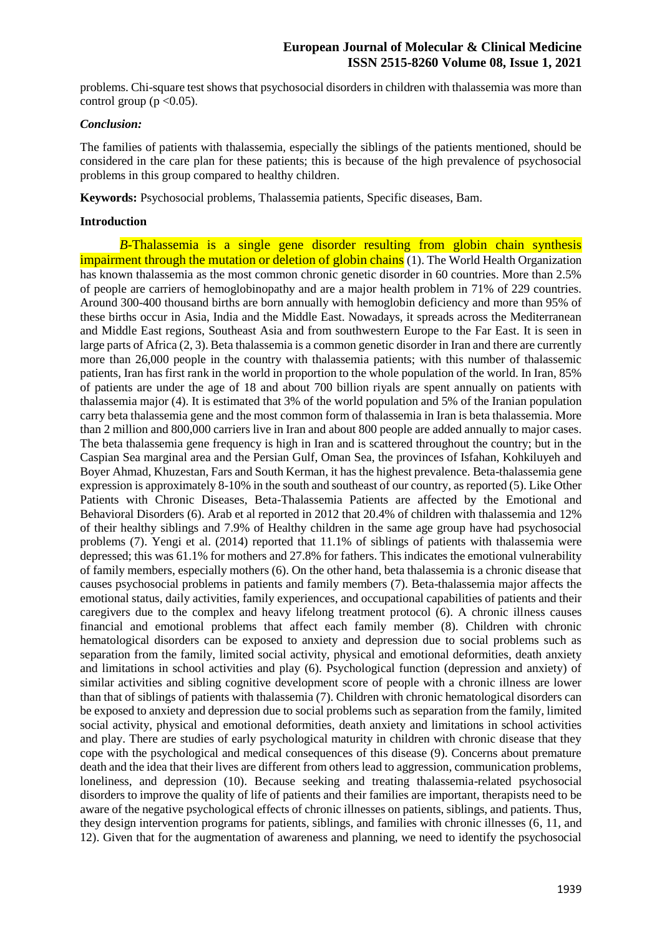problems. Chi-square test shows that psychosocial disorders in children with thalassemia was more than control group ( $p < 0.05$ ).

#### *Conclusion:*

The families of patients with thalassemia, especially the siblings of the patients mentioned, should be considered in the care plan for these patients; this is because of the high prevalence of psychosocial problems in this group compared to healthy children.

**Keywords:** Psychosocial problems, Thalassemia patients, Specific diseases, Bam.

#### **Introduction**

 *B-*Thalassemia is a single gene disorder resulting from globin chain synthesis impairment through the mutation or deletion of globin chains (1). The World Health Organization has known thalassemia as the most common chronic genetic disorder in 60 countries. More than 2.5% of people are carriers of hemoglobinopathy and are a major health problem in 71% of 229 countries. Around 300-400 thousand births are born annually with hemoglobin deficiency and more than 95% of these births occur in Asia, India and the Middle East. Nowadays, it spreads across the Mediterranean and Middle East regions, Southeast Asia and from southwestern Europe to the Far East. It is seen in large parts of Africa (2, 3). Beta thalassemia is a common genetic disorder in Iran and there are currently more than 26,000 people in the country with thalassemia patients; with this number of thalassemic patients, Iran has first rank in the world in proportion to the whole population of the world. In Iran, 85% of patients are under the age of 18 and about 700 billion riyals are spent annually on patients with thalassemia major (4). It is estimated that 3% of the world population and 5% of the Iranian population carry beta thalassemia gene and the most common form of thalassemia in Iran is beta thalassemia. More than 2 million and 800,000 carriers live in Iran and about 800 people are added annually to major cases. The beta thalassemia gene frequency is high in Iran and is scattered throughout the country; but in the Caspian Sea marginal area and the Persian Gulf, Oman Sea, the provinces of Isfahan, Kohkiluyeh and Boyer Ahmad, Khuzestan, Fars and South Kerman, it has the highest prevalence. Beta-thalassemia gene expression is approximately 8-10% in the south and southeast of our country, as reported (5). Like Other Patients with Chronic Diseases, Beta-Thalassemia Patients are affected by the Emotional and Behavioral Disorders (6). Arab et al reported in 2012 that 20.4% of children with thalassemia and 12% of their healthy siblings and 7.9% of Healthy children in the same age group have had psychosocial problems (7). Yengi et al. (2014) reported that 11.1% of siblings of patients with thalassemia were depressed; this was 61.1% for mothers and 27.8% for fathers. This indicates the emotional vulnerability of family members, especially mothers (6). On the other hand, beta thalassemia is a chronic disease that causes psychosocial problems in patients and family members (7). Beta-thalassemia major affects the emotional status, daily activities, family experiences, and occupational capabilities of patients and their caregivers due to the complex and heavy lifelong treatment protocol (6). A chronic illness causes financial and emotional problems that affect each family member (8). Children with chronic hematological disorders can be exposed to anxiety and depression due to social problems such as separation from the family, limited social activity, physical and emotional deformities, death anxiety and limitations in school activities and play (6). Psychological function (depression and anxiety) of similar activities and sibling cognitive development score of people with a chronic illness are lower than that of siblings of patients with thalassemia (7). Children with chronic hematological disorders can be exposed to anxiety and depression due to social problems such as separation from the family, limited social activity, physical and emotional deformities, death anxiety and limitations in school activities and play. There are studies of early psychological maturity in children with chronic disease that they cope with the psychological and medical consequences of this disease (9). Concerns about premature death and the idea that their lives are different from others lead to aggression, communication problems, loneliness, and depression (10). Because seeking and treating thalassemia-related psychosocial disorders to improve the quality of life of patients and their families are important, therapists need to be aware of the negative psychological effects of chronic illnesses on patients, siblings, and patients. Thus, they design intervention programs for patients, siblings, and families with chronic illnesses (6, 11, and 12). Given that for the augmentation of awareness and planning, we need to identify the psychosocial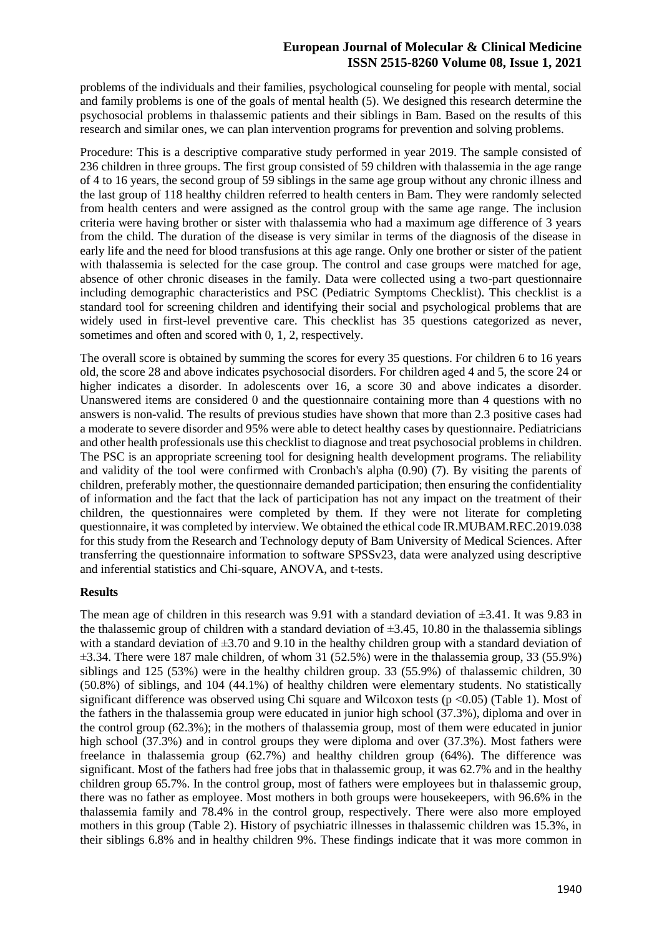problems of the individuals and their families, psychological counseling for people with mental, social and family problems is one of the goals of mental health (5). We designed this research determine the psychosocial problems in thalassemic patients and their siblings in Bam. Based on the results of this research and similar ones, we can plan intervention programs for prevention and solving problems.

Procedure: This is a descriptive comparative study performed in year 2019. The sample consisted of 236 children in three groups. The first group consisted of 59 children with thalassemia in the age range of 4 to 16 years, the second group of 59 siblings in the same age group without any chronic illness and the last group of 118 healthy children referred to health centers in Bam. They were randomly selected from health centers and were assigned as the control group with the same age range. The inclusion criteria were having brother or sister with thalassemia who had a maximum age difference of 3 years from the child. The duration of the disease is very similar in terms of the diagnosis of the disease in early life and the need for blood transfusions at this age range. Only one brother or sister of the patient with thalassemia is selected for the case group. The control and case groups were matched for age, absence of other chronic diseases in the family. Data were collected using a two-part questionnaire including demographic characteristics and PSC (Pediatric Symptoms Checklist). This checklist is a standard tool for screening children and identifying their social and psychological problems that are widely used in first-level preventive care. This checklist has 35 questions categorized as never, sometimes and often and scored with 0, 1, 2, respectively.

The overall score is obtained by summing the scores for every 35 questions. For children 6 to 16 years old, the score 28 and above indicates psychosocial disorders. For children aged 4 and 5, the score 24 or higher indicates a disorder. In adolescents over 16, a score 30 and above indicates a disorder. Unanswered items are considered 0 and the questionnaire containing more than 4 questions with no answers is non-valid. The results of previous studies have shown that more than 2.3 positive cases had a moderate to severe disorder and 95% were able to detect healthy cases by questionnaire. Pediatricians and other health professionals use this checklist to diagnose and treat psychosocial problems in children. The PSC is an appropriate screening tool for designing health development programs. The reliability and validity of the tool were confirmed with Cronbach's alpha (0.90) (7). By visiting the parents of children, preferably mother, the questionnaire demanded participation; then ensuring the confidentiality of information and the fact that the lack of participation has not any impact on the treatment of their children, the questionnaires were completed by them. If they were not literate for completing questionnaire, it was completed by interview. We obtained the ethical code IR.MUBAM.REC.2019.038 for this study from the Research and Technology deputy of Bam University of Medical Sciences. After transferring the questionnaire information to software SPSSv23, data were analyzed using descriptive and inferential statistics and Chi-square, ANOVA, and t-tests.

#### **Results**

The mean age of children in this research was 9.91 with a standard deviation of  $\pm 3.41$ . It was 9.83 in the thalassemic group of children with a standard deviation of  $\pm 3.45$ , 10.80 in the thalassemia siblings with a standard deviation of  $\pm$ 3.70 and 9.10 in the healthy children group with a standard deviation of ±3.34. There were 187 male children, of whom 31 (52.5%) were in the thalassemia group, 33 (55.9%) siblings and 125 (53%) were in the healthy children group. 33 (55.9%) of thalassemic children, 30 (50.8%) of siblings, and 104 (44.1%) of healthy children were elementary students. No statistically significant difference was observed using Chi square and Wilcoxon tests ( $p \le 0.05$ ) (Table 1). Most of the fathers in the thalassemia group were educated in junior high school (37.3%), diploma and over in the control group (62.3%); in the mothers of thalassemia group, most of them were educated in junior high school (37.3%) and in control groups they were diploma and over (37.3%). Most fathers were freelance in thalassemia group (62.7%) and healthy children group (64%). The difference was significant. Most of the fathers had free jobs that in thalassemic group, it was 62.7% and in the healthy children group 65.7%. In the control group, most of fathers were employees but in thalassemic group, there was no father as employee. Most mothers in both groups were housekeepers, with 96.6% in the thalassemia family and 78.4% in the control group, respectively. There were also more employed mothers in this group (Table 2). History of psychiatric illnesses in thalassemic children was 15.3%, in their siblings 6.8% and in healthy children 9%. These findings indicate that it was more common in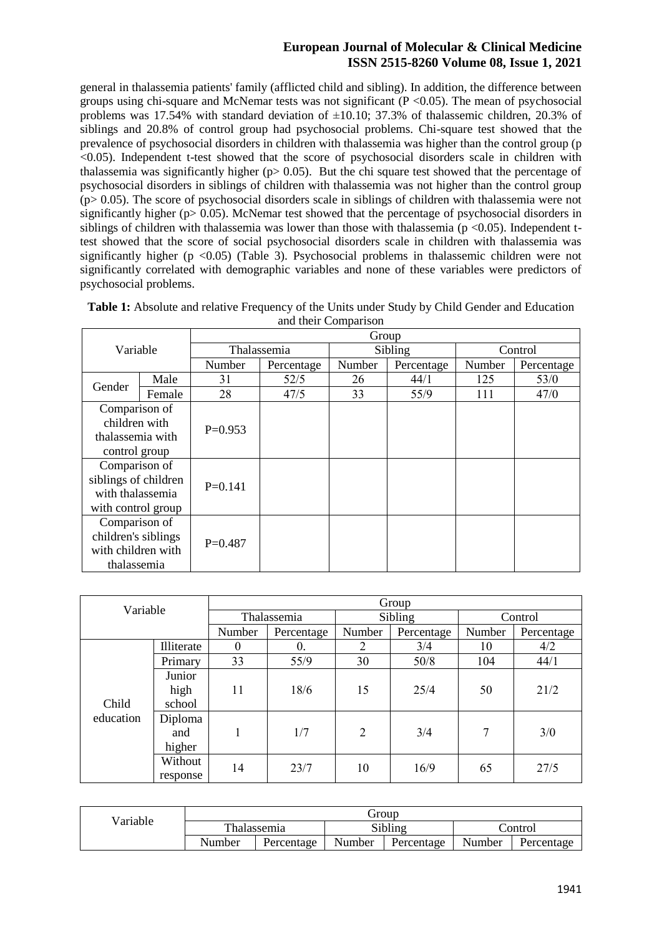general in thalassemia patients' family (afflicted child and sibling). In addition, the difference between groups using chi-square and McNemar tests was not significant  $(P \le 0.05)$ . The mean of psychosocial problems was 17.54% with standard deviation of  $\pm 10.10$ ; 37.3% of thalassemic children, 20.3% of siblings and 20.8% of control group had psychosocial problems. Chi-square test showed that the prevalence of psychosocial disorders in children with thalassemia was higher than the control group (p <0.05). Independent t-test showed that the score of psychosocial disorders scale in children with thalassemia was significantly higher ( $p$  > 0.05). But the chi square test showed that the percentage of psychosocial disorders in siblings of children with thalassemia was not higher than the control group (p> 0.05). The score of psychosocial disorders scale in siblings of children with thalassemia were not significantly higher (p> 0.05). McNemar test showed that the percentage of psychosocial disorders in siblings of children with thalassemia was lower than those with thalassemia ( $p \le 0.05$ ). Independent ttest showed that the score of social psychosocial disorders scale in children with thalassemia was significantly higher ( $p \le 0.05$ ) (Table 3). Psychosocial problems in thalassemic children were not significantly correlated with demographic variables and none of these variables were predictors of psychosocial problems.

| Variable                                                                                        |        | Group       |            |         |            |         |            |  |  |  |
|-------------------------------------------------------------------------------------------------|--------|-------------|------------|---------|------------|---------|------------|--|--|--|
|                                                                                                 |        | Thalassemia |            | Sibling |            | Control |            |  |  |  |
|                                                                                                 |        | Number      | Percentage | Number  | Percentage | Number  | Percentage |  |  |  |
| Gender                                                                                          | Male   | 31          | 52/5       | 26      | 44/1       | 125     | 53/0       |  |  |  |
|                                                                                                 | Female | 28          | 47/5       | 33      | 55/9       | 111     | 47/0       |  |  |  |
| Comparison of<br>children with<br>thalassemia with<br>control group                             |        | $P=0.953$   |            |         |            |         |            |  |  |  |
| Comparison of<br>siblings of children<br>with thalassemia                                       |        | $P=0.141$   |            |         |            |         |            |  |  |  |
| with control group<br>Comparison of<br>children's siblings<br>with children with<br>thalassemia |        | $P=0.487$   |            |         |            |         |            |  |  |  |

**Table 1:** Absolute and relative Frequency of the Units under Study by Child Gender and Education and their Comparison

| Variable  |                          | Group       |            |                |            |         |            |  |  |  |
|-----------|--------------------------|-------------|------------|----------------|------------|---------|------------|--|--|--|
|           |                          | Thalassemia |            | Sibling        |            | Control |            |  |  |  |
|           |                          | Number      | Percentage | Number         | Percentage | Number  | Percentage |  |  |  |
|           | Illiterate               | $\theta$    | $\Omega$ . | 2              | 3/4        | 10      | 4/2        |  |  |  |
|           | Primary                  | 33          | 55/9       | 30             | 50/8       | 104     | 44/1       |  |  |  |
| Child     | Junior<br>high<br>school | 11          | 18/6       | 15             | 25/4       | 50      | 21/2       |  |  |  |
| education | Diploma<br>and<br>higher |             | 1/7        | $\overline{2}$ | 3/4        | 7       | 3/0        |  |  |  |
|           | Without<br>response      | 14          | 23/7       | 10             | 16/9       | 65      | 27/5       |  |  |  |

| Variable |             |            |         | Group      |         |            |
|----------|-------------|------------|---------|------------|---------|------------|
|          | Thalassemia |            | Sibling |            | control |            |
|          | Number      | Percentage | Number  | Percentage | Number  | Percentage |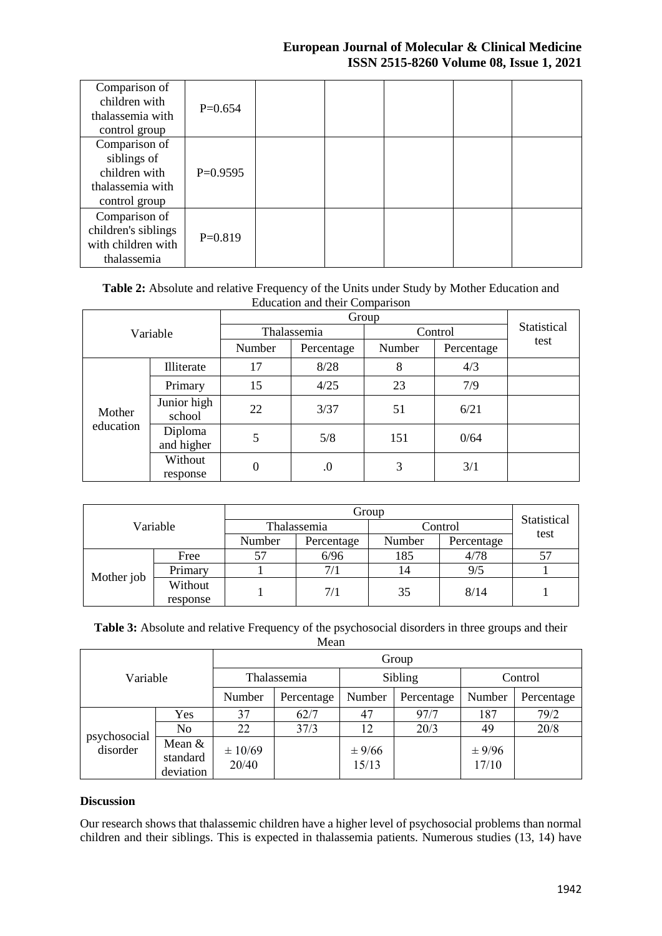| Comparison of<br>children with<br>thalassemia with | $P=0.654$  |  |  |  |
|----------------------------------------------------|------------|--|--|--|
| control group                                      |            |  |  |  |
| Comparison of                                      |            |  |  |  |
| siblings of                                        |            |  |  |  |
| children with                                      | $P=0.9595$ |  |  |  |
| thalassemia with                                   |            |  |  |  |
| control group                                      |            |  |  |  |
| Comparison of                                      |            |  |  |  |
| children's siblings                                |            |  |  |  |
| with children with                                 | $P=0.819$  |  |  |  |
| thalassemia                                        |            |  |  |  |

#### **Table 2:** Absolute and relative Frequency of the Units under Study by Mother Education and Education and their Comparison

|           | Variable              |        | Thalassemia          | Control | Statistical<br>test |            |
|-----------|-----------------------|--------|----------------------|---------|---------------------|------------|
|           |                       | Number | Number<br>Percentage |         |                     | Percentage |
|           | Illiterate            | 17     | 8/28                 | 8       | 4/3                 |            |
|           | Primary               | 15     | 4/25                 | 23      | 7/9                 |            |
| Mother    | Junior high<br>school | 22     | 3/37                 | 51      | 6/21                |            |
| education | Diploma<br>and higher | 5      | 5/8                  | 151     | 0/64                |            |
|           | Without<br>response   | 0      | .0                   | 3       | 3/1                 |            |

|            |          |             | Statistical |         |            |      |
|------------|----------|-------------|-------------|---------|------------|------|
|            | Variable | Thalassemia |             | Control |            | test |
|            |          | Number      | Percentage  | Number  | Percentage |      |
|            | Free     | 57          | 6/96        | 185     | 4/78       |      |
| Mother job | Primary  |             | 7/1         | 14      | 9/5        |      |
|            | Without  |             | 7/1         | 35      | 8/14       |      |
|            | response |             |             |         |            |      |

**Table 3:** Absolute and relative Frequency of the psychosocial disorders in three groups and their

|                          |                                   |                      | Mean       |                     |            |                 |            |  |  |  |
|--------------------------|-----------------------------------|----------------------|------------|---------------------|------------|-----------------|------------|--|--|--|
|                          |                                   |                      | Group      |                     |            |                 |            |  |  |  |
| Variable                 |                                   | Thalassemia          |            | Sibling             |            | Control         |            |  |  |  |
|                          |                                   | Number               | Percentage | Number              | Percentage | Number          | Percentage |  |  |  |
|                          | Yes                               | 37                   | 62/7       | 47                  | 97/7       | 187             | 79/2       |  |  |  |
|                          | N <sub>0</sub>                    | 22                   | 37/3       | 12                  | 20/3       | 49              | 20/8       |  |  |  |
| psychosocial<br>disorder | Mean $&$<br>standard<br>deviation | $\pm 10/69$<br>20/40 |            | $\pm$ 9/66<br>15/13 |            | ± 9/96<br>17/10 |            |  |  |  |

# **Discussion**

Our research shows that thalassemic children have a higher level of psychosocial problems than normal children and their siblings. This is expected in thalassemia patients. Numerous studies (13, 14) have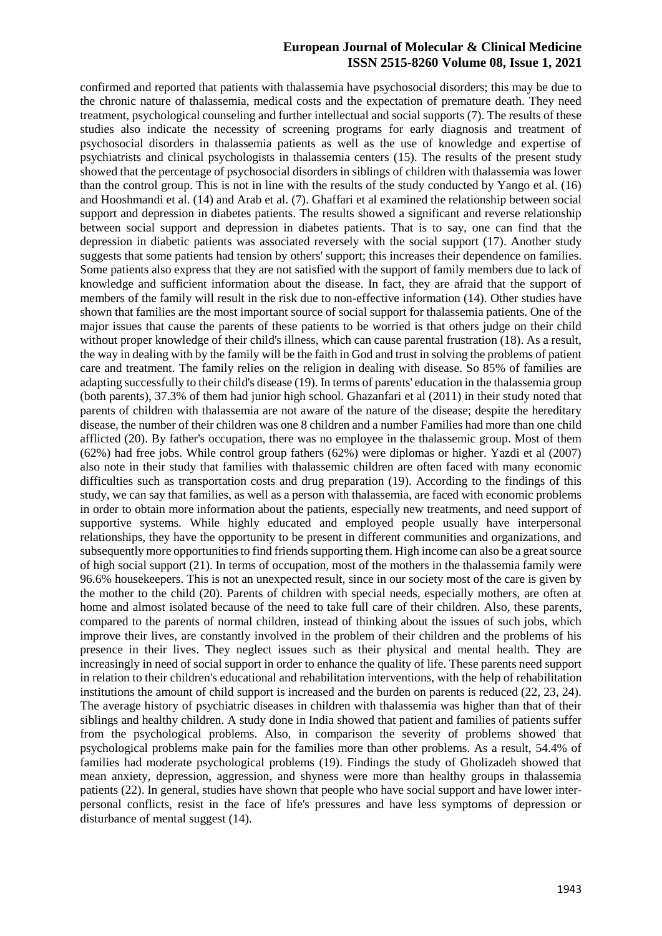confirmed and reported that patients with thalassemia have psychosocial disorders; this may be due to the chronic nature of thalassemia, medical costs and the expectation of premature death. They need treatment, psychological counseling and further intellectual and social supports (7). The results of these studies also indicate the necessity of screening programs for early diagnosis and treatment of psychosocial disorders in thalassemia patients as well as the use of knowledge and expertise of psychiatrists and clinical psychologists in thalassemia centers (15). The results of the present study showed that the percentage of psychosocial disorders in siblings of children with thalassemia was lower than the control group. This is not in line with the results of the study conducted by Yango et al. (16) and Hooshmandi et al. (14) and Arab et al. (7). Ghaffari et al examined the relationship between social support and depression in diabetes patients. The results showed a significant and reverse relationship between social support and depression in diabetes patients. That is to say, one can find that the depression in diabetic patients was associated reversely with the social support (17). Another study suggests that some patients had tension by others' support; this increases their dependence on families. Some patients also express that they are not satisfied with the support of family members due to lack of knowledge and sufficient information about the disease. In fact, they are afraid that the support of members of the family will result in the risk due to non-effective information (14). Other studies have shown that families are the most important source of social support for thalassemia patients. One of the major issues that cause the parents of these patients to be worried is that others judge on their child without proper knowledge of their child's illness, which can cause parental frustration (18). As a result, the way in dealing with by the family will be the faith in God and trust in solving the problems of patient care and treatment. The family relies on the religion in dealing with disease. So 85% of families are adapting successfully to their child's disease (19). In terms of parents' education in the thalassemia group (both parents), 37.3% of them had junior high school. Ghazanfari et al (2011) in their study noted that parents of children with thalassemia are not aware of the nature of the disease; despite the hereditary disease, the number of their children was one 8 children and a number Families had more than one child afflicted (20). By father's occupation, there was no employee in the thalassemic group. Most of them (62%) had free jobs. While control group fathers (62%) were diplomas or higher. Yazdi et al (2007) also note in their study that families with thalassemic children are often faced with many economic difficulties such as transportation costs and drug preparation (19). According to the findings of this study, we can say that families, as well as a person with thalassemia, are faced with economic problems in order to obtain more information about the patients, especially new treatments, and need support of supportive systems. While highly educated and employed people usually have interpersonal relationships, they have the opportunity to be present in different communities and organizations, and subsequently more opportunities to find friends supporting them. High income can also be a great source of high social support (21). In terms of occupation, most of the mothers in the thalassemia family were 96.6% housekeepers. This is not an unexpected result, since in our society most of the care is given by the mother to the child (20). Parents of children with special needs, especially mothers, are often at home and almost isolated because of the need to take full care of their children. Also, these parents, compared to the parents of normal children, instead of thinking about the issues of such jobs, which improve their lives, are constantly involved in the problem of their children and the problems of his presence in their lives. They neglect issues such as their physical and mental health. They are increasingly in need of social support in order to enhance the quality of life. These parents need support in relation to their children's educational and rehabilitation interventions, with the help of rehabilitation institutions the amount of child support is increased and the burden on parents is reduced (22, 23, 24). The average history of psychiatric diseases in children with thalassemia was higher than that of their siblings and healthy children. A study done in India showed that patient and families of patients suffer from the psychological problems. Also, in comparison the severity of problems showed that psychological problems make pain for the families more than other problems. As a result, 54.4% of families had moderate psychological problems (19). Findings the study of Gholizadeh showed that mean anxiety, depression, aggression, and shyness were more than healthy groups in thalassemia patients (22). In general, studies have shown that people who have social support and have lower interpersonal conflicts, resist in the face of life's pressures and have less symptoms of depression or disturbance of mental suggest (14).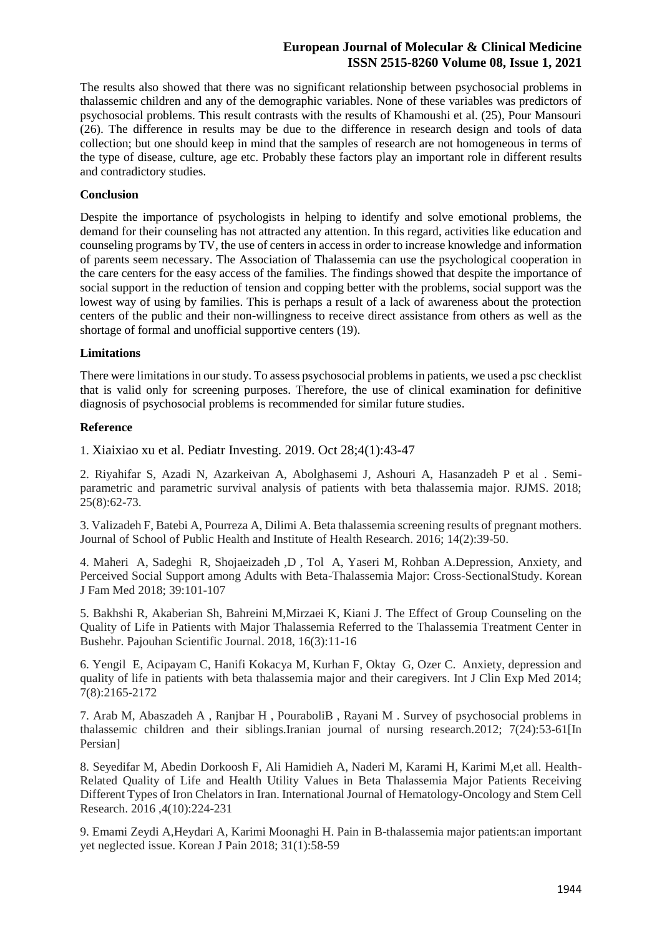The results also showed that there was no significant relationship between psychosocial problems in thalassemic children and any of the demographic variables. None of these variables was predictors of psychosocial problems. This result contrasts with the results of Khamoushi et al. (25), Pour Mansouri (26). The difference in results may be due to the difference in research design and tools of data collection; but one should keep in mind that the samples of research are not homogeneous in terms of the type of disease, culture, age etc. Probably these factors play an important role in different results and contradictory studies.

#### **Conclusion**

Despite the importance of psychologists in helping to identify and solve emotional problems, the demand for their counseling has not attracted any attention. In this regard, activities like education and counseling programs by TV, the use of centers in access in order to increase knowledge and information of parents seem necessary. The Association of Thalassemia can use the psychological cooperation in the care centers for the easy access of the families. The findings showed that despite the importance of social support in the reduction of tension and copping better with the problems, social support was the lowest way of using by families. This is perhaps a result of a lack of awareness about the protection centers of the public and their non-willingness to receive direct assistance from others as well as the shortage of formal and unofficial supportive centers (19).

#### **Limitations**

There were limitations in our study. To assess psychosocial problems in patients, we used a psc checklist that is valid only for screening purposes. Therefore, the use of clinical examination for definitive diagnosis of psychosocial problems is recommended for similar future studies.

#### **Reference**

1. Xiaixiao xu et al. Pediatr Investing. 2019. Oct 28;4(1):43-47

2. Riyahifar S, Azadi N, Azarkeivan A, Abolghasemi J, Ashouri A, Hasanzadeh P et al . Semiparametric and parametric survival analysis of patients with beta thalassemia major. RJMS. 2018; 25(8):62-73.

3. Valizadeh F, Batebi A, Pourreza A, Dilimi A. Beta thalassemia screening results of pregnant mothers. Journal of School of Public Health and Institute of Health Research. 2016; 14(2):39-50.

4. Maheri A, Sadeghi R, Shojaeizadeh ,D , Tol A, Yaseri M, Rohban A.Depression, Anxiety, and Perceived Social Support among Adults with Beta-Thalassemia Major: Cross-SectionalStudy. Korean J Fam Med 2018; 39:101-107

5. Bakhshi R, Akaberian Sh, Bahreini M,Mirzaei K, Kiani J. The Effect of Group Counseling on the Quality of Life in Patients with Major Thalassemia Referred to the Thalassemia Treatment Center in Bushehr. Pajouhan Scientific Journal. 2018, 16(3):11-16

6. Yengil E, Acipayam C, Hanifi Kokacya M, Kurhan F, Oktay G, Ozer C. Anxiety, depression and quality of life in patients with beta thalassemia major and their caregivers. Int J Clin Exp Med 2014; 7(8):2165-2172

7. Arab M, Abaszadeh A , Ranjbar H , PouraboliB , Rayani M . Survey of psychosocial problems in thalassemic children and their siblings.Iranian journal of nursing research.2012; 7(24):53-61[In Persian]

8. Seyedifar M, Abedin Dorkoosh F, Ali Hamidieh A, Naderi M, Karami H, Karimi M,et all. Health-Related Quality of Life and Health Utility Values in Beta Thalassemia Major Patients Receiving Different Types of Iron Chelators in Iran. International Journal of Hematology-Oncology and Stem Cell Research. 2016 ,4(10):224-231

9. Emami Zeydi A,Heydari A, Karimi Moonaghi H. Pain in B-thalassemia major patients:an important yet neglected issue. Korean J Pain 2018; 31(1):58-59